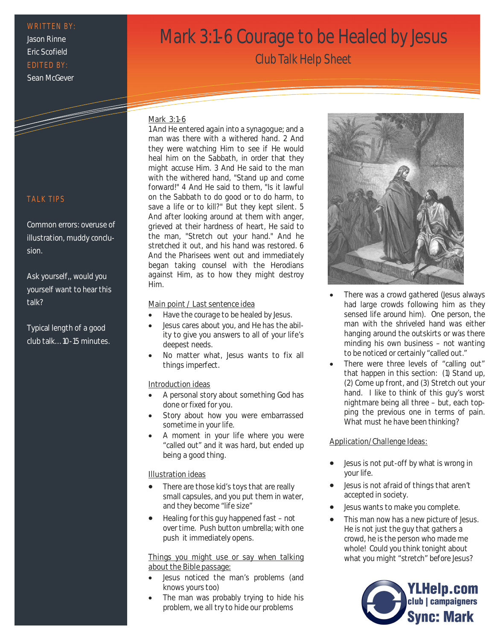## WRITTEN BY:

Jason Rinne Eric Scofield EDITED BY: Sean McGever

# Mark 3:1-6 Courage to be Healed by Jesus

Club Talk Help Sheet

#### Mark 3:1-6

1 And He entered again into a synagogue; and a man was there with a withered hand. 2 And they were watching Him to see if He would heal him on the Sabbath, in order that they might accuse Him. 3 And He said to the man with the withered hand, "Stand up and come forward!" 4 And He said to them, "Is it lawful on the Sabbath to do good or to do harm, to save a life or to kill?" But they kept silent. 5 And after looking around at them with anger, grieved at their hardness of heart, He said to the man, "Stretch out your hand." And he stretched it out, and his hand was restored. 6 And the Pharisees went out and immediately began taking counsel with the Herodians against Him, as to how they might destroy Him.

#### Main point / Last sentence idea

- Have the courage to be healed by Jesus.
- Jesus cares about you, and He has the ability to give you answers to all of your life's deepest needs.
- No matter what, Jesus wants to fix all things imperfect.

# Introduction ideas

- A personal story about something God has done or fixed for you.
- Story about how you were embarrassed sometime in your life.
- A moment in your life where you were "called out" and it was hard, but ended up being a good thing.

#### Illustration ideas

- There are those kid's toys that are really small capsules, and you put them in water, and they become "life size"
- Healing for this guy happened fast not over time. Push button umbrella; with one push it immediately opens.

#### Things you might use or say when talking about the Bible passage:

- Jesus noticed the man's problems (and knows yours too)
- The man was probably trying to hide his problem, we all try to hide our problems



- There was a crowd gathered (Jesus always had large crowds following him as they sensed life around him). One person, the man with the shriveled hand was either hanging around the outskirts or was there minding his own business – not wanting to be noticed or certainly "called out."
- There were three levels of "calling out" that happen in this section: (1) Stand up, (2) Come up front, and (3) Stretch out your hand. I like to think of this guy's worst nightmare being all three – but, each topping the previous one in terms of pain. What must he have been thinking?

#### Application/Challenge Ideas:

- Jesus is not put-off by what is wrong in your life.
- Jesus is not afraid of things that aren't accepted in society.
- Jesus wants to make you complete.
- This man now has a new picture of Jesus. He is not just the guy that gathers a crowd, he is the person who made me whole! Could you think tonight about what you might "stretch" before Jesus?



## **TALK TIPS**

Common errors: overuse of illustration, muddy conclusion.

# Ask yourself,, would you yourself want to hear this talk?

Typical length of a good club talk… 10-15 minutes.